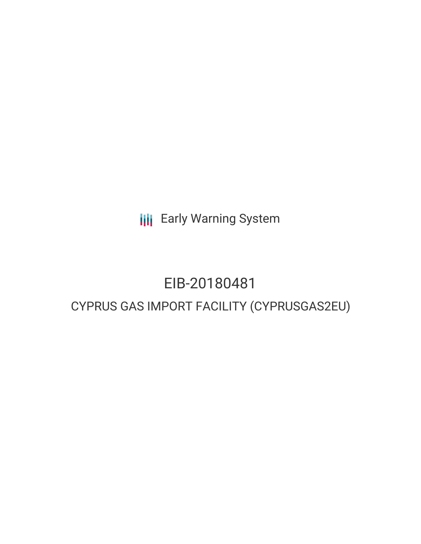**III** Early Warning System

# EIB-20180481 CYPRUS GAS IMPORT FACILITY (CYPRUSGAS2EU)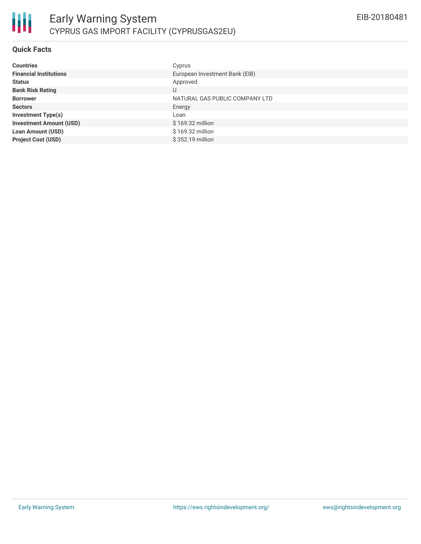

#### **Quick Facts**

| <b>Countries</b>               | Cyprus                         |
|--------------------------------|--------------------------------|
| <b>Financial Institutions</b>  | European Investment Bank (EIB) |
| <b>Status</b>                  | Approved                       |
| <b>Bank Risk Rating</b>        | U                              |
| <b>Borrower</b>                | NATURAL GAS PUBLIC COMPANY LTD |
| <b>Sectors</b>                 | Energy                         |
| <b>Investment Type(s)</b>      | Loan                           |
| <b>Investment Amount (USD)</b> | $$169.32$ million              |
| <b>Loan Amount (USD)</b>       | \$169.32 million               |
| <b>Project Cost (USD)</b>      | \$352.19 million               |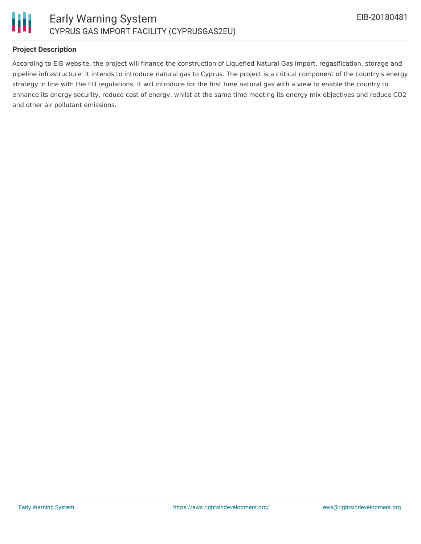



## **Project Description**

According to EIB website, the project will finance the construction of Liquefied Natural Gas import, regasification, storage and pipeline infrastructure. It intends to introduce natural gas to Cyprus. The project is a critical component of the country's energy strategy in line with the EU regulations. It will introduce for the first time natural gas with a view to enable the country to enhance its energy security, reduce cost of energy, whilst at the same time meeting its energy mix objectives and reduce CO2 and other air pollutant emissions.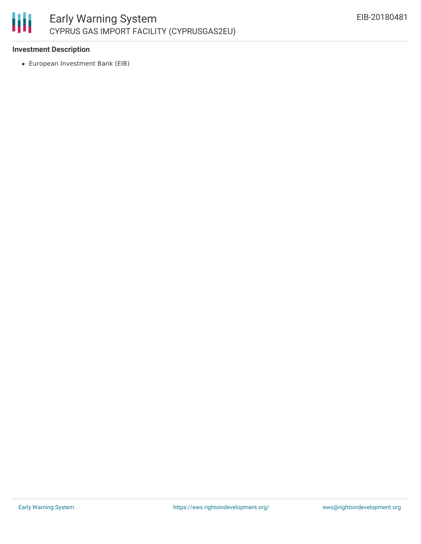

## **Investment Description**

European Investment Bank (EIB)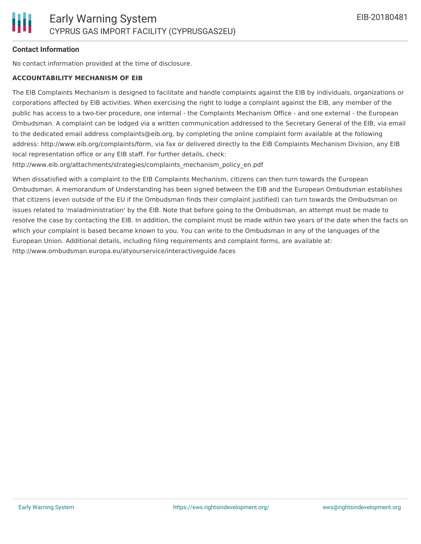#### **Contact Information**

No contact information provided at the time of disclosure.

#### **ACCOUNTABILITY MECHANISM OF EIB**

The EIB Complaints Mechanism is designed to facilitate and handle complaints against the EIB by individuals, organizations or corporations affected by EIB activities. When exercising the right to lodge a complaint against the EIB, any member of the public has access to a two-tier procedure, one internal - the Complaints Mechanism Office - and one external - the European Ombudsman. A complaint can be lodged via a written communication addressed to the Secretary General of the EIB, via email to the dedicated email address complaints@eib.org, by completing the online complaint form available at the following address: http://www.eib.org/complaints/form, via fax or delivered directly to the EIB Complaints Mechanism Division, any EIB local representation office or any EIB staff. For further details, check:

http://www.eib.org/attachments/strategies/complaints\_mechanism\_policy\_en.pdf

When dissatisfied with a complaint to the EIB Complaints Mechanism, citizens can then turn towards the European Ombudsman. A memorandum of Understanding has been signed between the EIB and the European Ombudsman establishes that citizens (even outside of the EU if the Ombudsman finds their complaint justified) can turn towards the Ombudsman on issues related to 'maladministration' by the EIB. Note that before going to the Ombudsman, an attempt must be made to resolve the case by contacting the EIB. In addition, the complaint must be made within two years of the date when the facts on which your complaint is based became known to you. You can write to the Ombudsman in any of the languages of the European Union. Additional details, including filing requirements and complaint forms, are available at: http://www.ombudsman.europa.eu/atyourservice/interactiveguide.faces